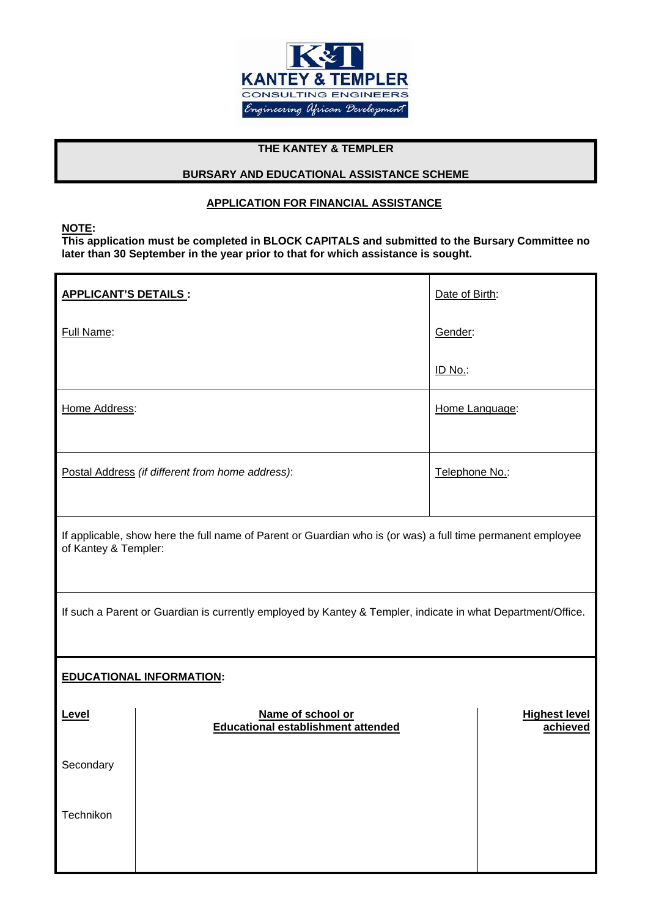

## **THE KANTEY & TEMPLER**

### **BURSARY AND EDUCATIONAL ASSISTANCE SCHEME**

### **APPLICATION FOR FINANCIAL ASSISTANCE**

**NOTE:** 

**This application must be completed in BLOCK CAPITALS and submitted to the Bursary Committee no later than 30 September in the year prior to that for which assistance is sought.**

| <b>APPLICANT'S DETAILS:</b>                                                                                                         |                                                                |         | Date of Birth:                   |  |  |
|-------------------------------------------------------------------------------------------------------------------------------------|----------------------------------------------------------------|---------|----------------------------------|--|--|
| Full Name:                                                                                                                          |                                                                | Gender: |                                  |  |  |
|                                                                                                                                     |                                                                | ID No.: |                                  |  |  |
| Home Address:                                                                                                                       |                                                                |         | Home Language:                   |  |  |
| Postal Address (if different from home address):                                                                                    |                                                                |         | Telephone No.:                   |  |  |
| If applicable, show here the full name of Parent or Guardian who is (or was) a full time permanent employee<br>of Kantey & Templer: |                                                                |         |                                  |  |  |
| If such a Parent or Guardian is currently employed by Kantey & Templer, indicate in what Department/Office.                         |                                                                |         |                                  |  |  |
| <b>EDUCATIONAL INFORMATION:</b>                                                                                                     |                                                                |         |                                  |  |  |
| Level                                                                                                                               | Name of school or<br><b>Educational establishment attended</b> |         | <b>Highest level</b><br>achieved |  |  |
| Secondary                                                                                                                           |                                                                |         |                                  |  |  |
| Technikon                                                                                                                           |                                                                |         |                                  |  |  |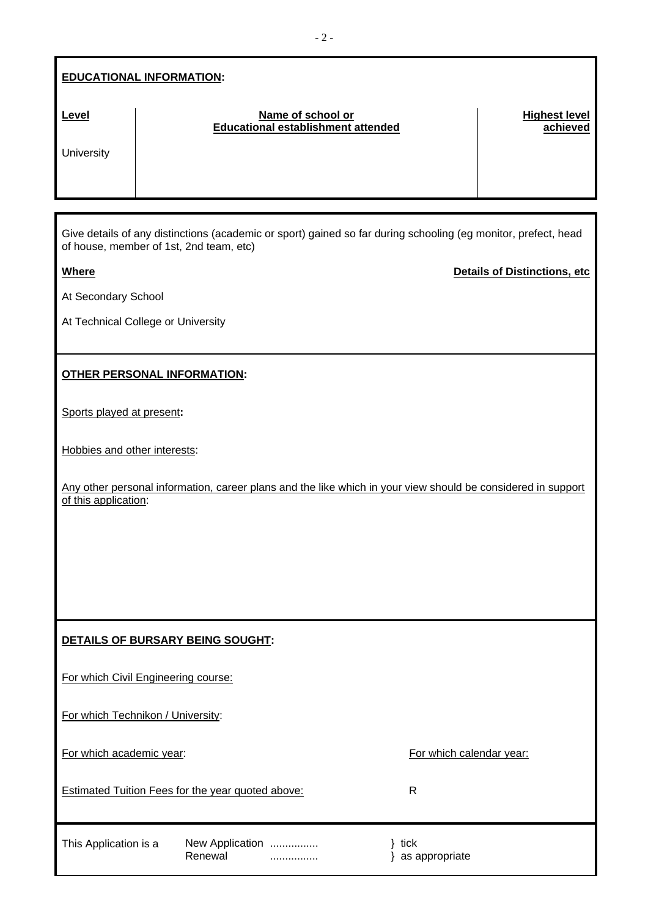# **EDUCATIONAL INFORMATION:**

| Level      | Name of school or<br><b>Educational establishment attended</b> | <b>Highest level</b><br>achieved |
|------------|----------------------------------------------------------------|----------------------------------|
| University |                                                                |                                  |
|            |                                                                |                                  |

Give details of any distinctions (academic or sport) gained so far during schooling (eg monitor, prefect, head of house, member of 1st, 2nd team, etc)

#### **Where**

**Details of Distinctions, etc**

At Secondary School

At Technical College or University

## **OTHER PERSONAL INFORMATION:**

Sports played at present**:**

Hobbies and other interests:

Any other personal information, career plans and the like which in your view should be considered in support of this application:

# **DETAILS OF BURSARY BEING SOUGHT:**

For which Civil Engineering course:

For which Technikon / University:

For which academic year: For which calendar year:

Estimated Tuition Fees for the year quoted above:

This Application is a New Application ................ Renewal ................

} tick } as appropriate